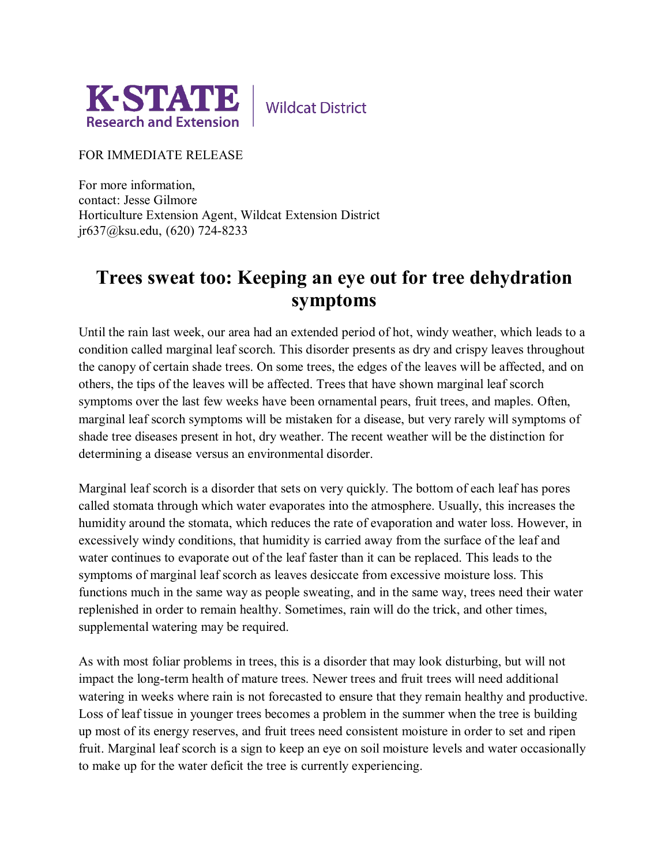

**Wildcat District** 

FOR IMMEDIATE RELEASE

For more information, contact: Jesse Gilmore Horticulture Extension Agent, Wildcat Extension District jr637@ksu.edu, (620) 724-8233

## **Trees sweat too: Keeping an eye out for tree dehydration symptoms**

Until the rain last week, our area had an extended period of hot, windy weather, which leads to a condition called marginal leaf scorch. This disorder presents as dry and crispy leaves throughout the canopy of certain shade trees. On some trees, the edges of the leaves will be affected, and on others, the tips of the leaves will be affected. Trees that have shown marginal leaf scorch symptoms over the last few weeks have been ornamental pears, fruit trees, and maples. Often, marginal leaf scorch symptoms will be mistaken for a disease, but very rarely will symptoms of shade tree diseases present in hot, dry weather. The recent weather will be the distinction for determining a disease versus an environmental disorder.

Marginal leaf scorch is a disorder that sets on very quickly. The bottom of each leaf has pores called stomata through which water evaporates into the atmosphere. Usually, this increases the humidity around the stomata, which reduces the rate of evaporation and water loss. However, in excessively windy conditions, that humidity is carried away from the surface of the leaf and water continues to evaporate out of the leaf faster than it can be replaced. This leads to the symptoms of marginal leaf scorch as leaves desiccate from excessive moisture loss. This functions much in the same way as people sweating, and in the same way, trees need their water replenished in order to remain healthy. Sometimes, rain will do the trick, and other times, supplemental watering may be required.

As with most foliar problems in trees, this is a disorder that may look disturbing, but will not impact the long-term health of mature trees. Newer trees and fruit trees will need additional watering in weeks where rain is not forecasted to ensure that they remain healthy and productive. Loss of leaf tissue in younger trees becomes a problem in the summer when the tree is building up most of its energy reserves, and fruit trees need consistent moisture in order to set and ripen fruit. Marginal leaf scorch is a sign to keep an eye on soil moisture levels and water occasionally to make up for the water deficit the tree is currently experiencing.